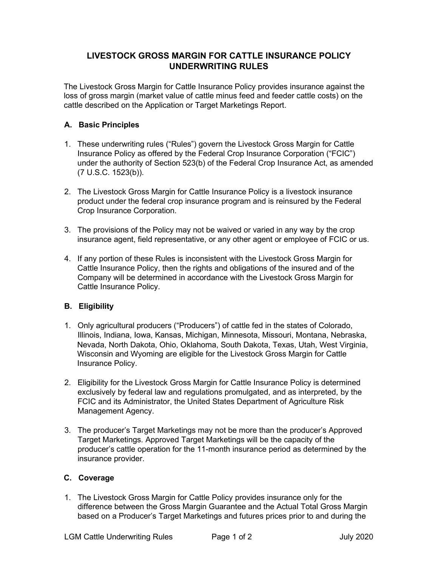## **LIVESTOCK GROSS MARGIN FOR CATTLE INSURANCE POLICY UNDERWRITING RULES**

The Livestock Gross Margin for Cattle Insurance Policy provides insurance against the loss of gross margin (market value of cattle minus feed and feeder cattle costs) on the cattle described on the Application or Target Marketings Report.

## **A. Basic Principles**

- 1. These underwriting rules ("Rules") govern the Livestock Gross Margin for Cattle Insurance Policy as offered by the Federal Crop Insurance Corporation ("FCIC") under the authority of Section 523(b) of the Federal Crop Insurance Act, as amended (7 U.S.C. 1523(b)).
- 2. The Livestock Gross Margin for Cattle Insurance Policy is a livestock insurance product under the federal crop insurance program and is reinsured by the Federal Crop Insurance Corporation.
- 3. The provisions of the Policy may not be waived or varied in any way by the crop insurance agent, field representative, or any other agent or employee of FCIC or us.
- 4. If any portion of these Rules is inconsistent with the Livestock Gross Margin for Cattle Insurance Policy, then the rights and obligations of the insured and of the Company will be determined in accordance with the Livestock Gross Margin for Cattle Insurance Policy.

## **B. Eligibility**

- 1. Only agricultural producers ("Producers") of cattle fed in the states of Colorado, Illinois, Indiana, Iowa, Kansas, Michigan, Minnesota, Missouri, Montana, Nebraska, Nevada, North Dakota, Ohio, Oklahoma, South Dakota, Texas, Utah, West Virginia, Wisconsin and Wyoming are eligible for the Livestock Gross Margin for Cattle Insurance Policy.
- 2. Eligibility for the Livestock Gross Margin for Cattle Insurance Policy is determined exclusively by federal law and regulations promulgated, and as interpreted, by the FCIC and its Administrator, the United States Department of Agriculture Risk Management Agency.
- 3. The producer's Target Marketings may not be more than the producer's Approved Target Marketings. Approved Target Marketings will be the capacity of the producer's cattle operation for the 11-month insurance period as determined by the insurance provider.

## **C. Coverage**

1. The Livestock Gross Margin for Cattle Policy provides insurance only for the difference between the Gross Margin Guarantee and the Actual Total Gross Margin based on a Producer's Target Marketings and futures prices prior to and during the